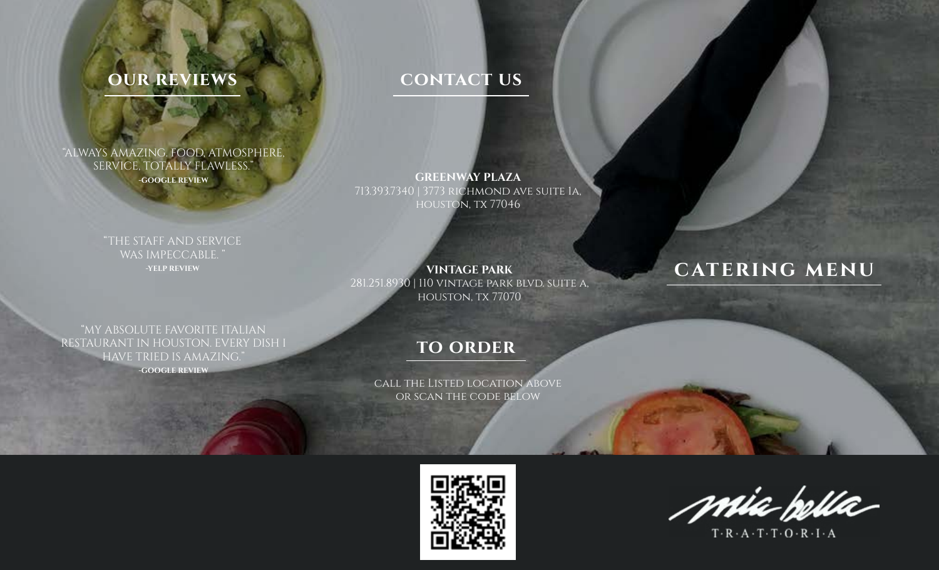## **our reviews**

## **contact us**

"ALWAYS AMAZING. FOOD, ATMOSPHERE, SERVICE, TOTALLY FLAWLESS." **-GOOGLE REVIEW**

**GREENWAY PLAZA** 713.393.7340 | 3773 richmond ave suite 1a, houston, tx 77046

"THE STAFF AND SERVICE WAS IMPECCABLE. **-YELP REVIEW**

**VINTAGE PARK** 281.251.8930 | 110 vintage park blvd. suite a, houston, tx 77070

## **catering menu**

"MY ABSOLUTE FAVORITE ITALIAN RESTAURANT IN HOUSTON. EVERY DISH I HAVE TRIED IS AMAZING."

**-GOOGLE REVIEW**

## **to order**

call the Listed location above or scan the code below



mia pella

 $T \cdot R \cdot A \cdot T \cdot T \cdot O \cdot R \cdot I \cdot A$